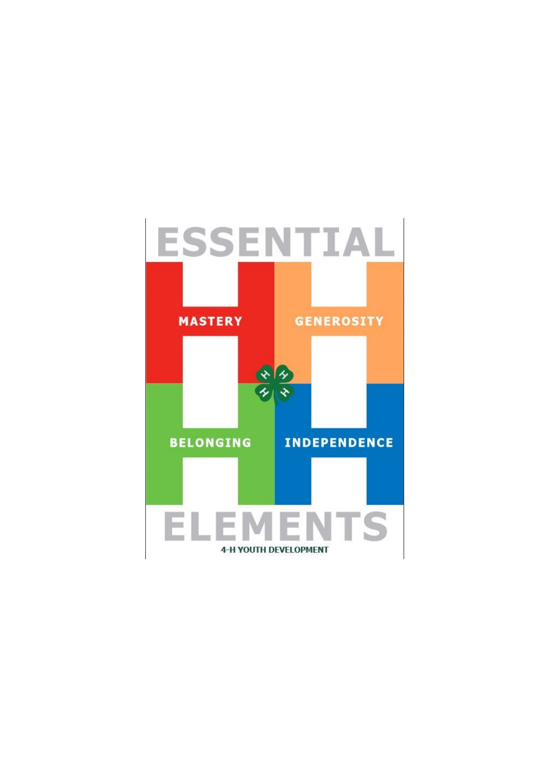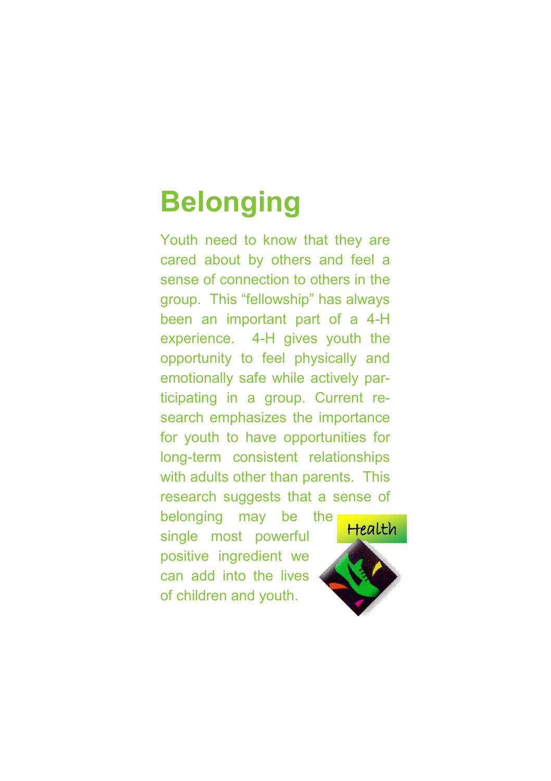## **Belonging**

Youth need to know that they are cared about by others and feel a sense of connection to others in the group. This "fellowship" has always been an important part of a 4-H experience. 4-H gives youth the opportunity to feel physically and emotionally safe while actively participating in a group. Current research emphasizes the importance for youth to have opportunities for long-term consistent relationships with adults other than parents. This research suggests that a sense of

belonging may be the single most powerful positive ingredient we can add into the lives of children and youth.

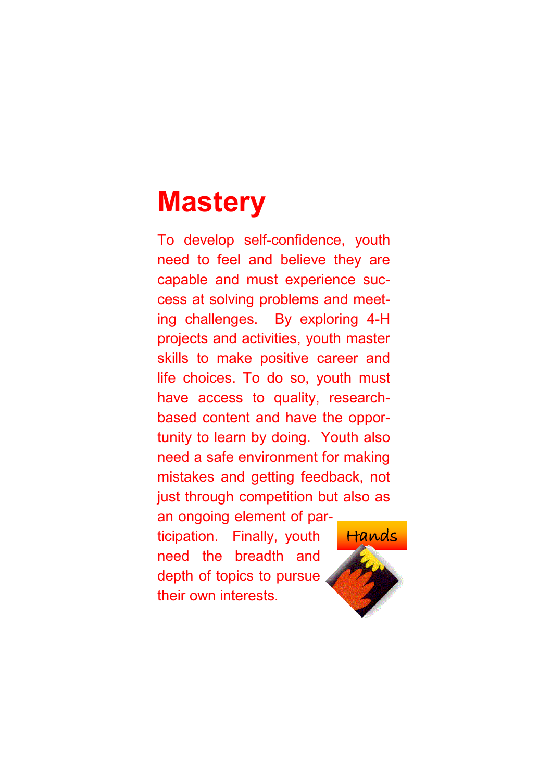## **Mastery**

To develop self-confidence, youth need to feel and believe they are capable and must experience success at solving problems and meeting challenges. By exploring 4-H projects and activities, youth master skills to make positive career and life choices. To do so, youth must have access to quality, researchbased content and have the opportunity to learn by doing. Youth also need a safe environment for making mistakes and getting feedback, not just through competition but also as an ongoing element of participation. Finally, youth Hands

need the breadth and depth of topics to pursue their own interests.

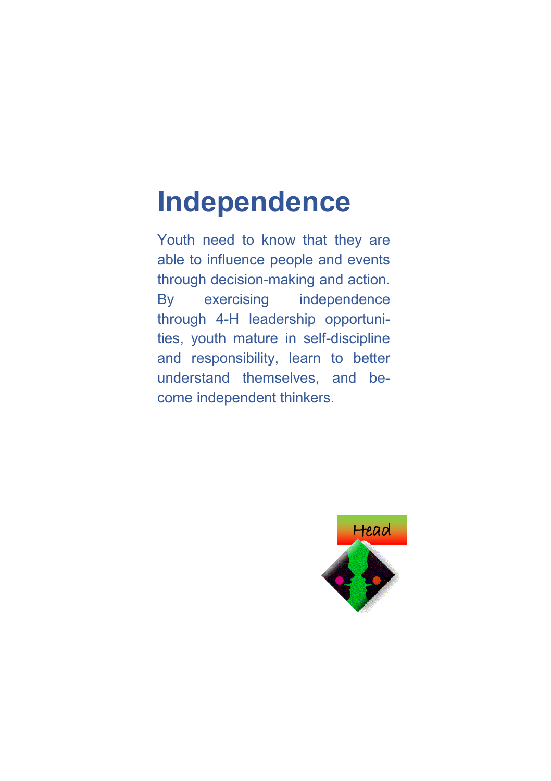## **Independence**

Youth need to know that they are able to influence people and events through decision-making and action. By exercising independence through 4-H leadership opportunities, youth mature in self-discipline and responsibility, learn to better understand themselves, and become independent thinkers.